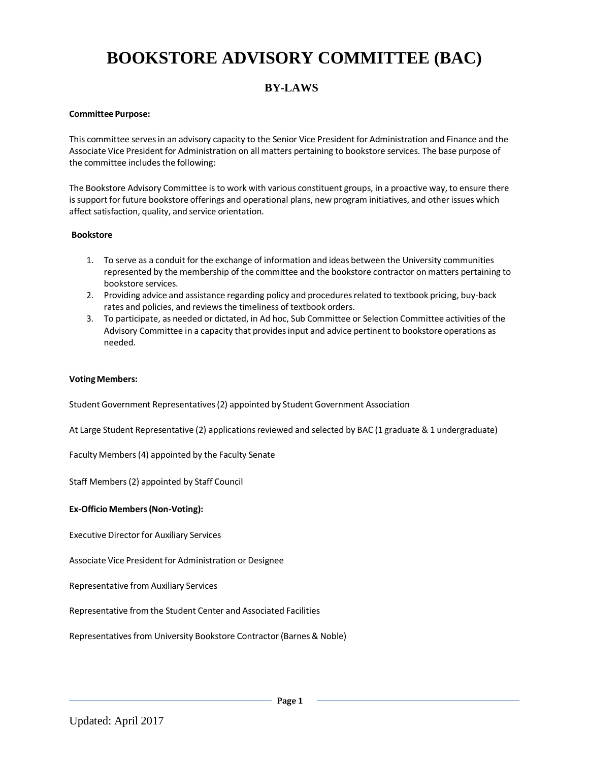# **BOOKSTORE ADVISORY COMMITTEE (BAC)**

# **BY-LAWS**

## **Committee Purpose:**

This committee servesin an advisory capacity to the Senior Vice President for Administration and Finance and the Associate Vice President for Administration on all matters pertaining to bookstore services. The base purpose of the committee includes the following:

The Bookstore Advisory Committee isto work with various constituent groups, in a proactive way, to ensure there issupport for future bookstore offerings and operational plans, new program initiatives, and other issues which affect satisfaction, quality, and service orientation.

#### **Bookstore**

- 1. To serve as a conduit for the exchange of information and ideas between the University communities represented by the membership of the committee and the bookstore contractor on matters pertaining to bookstore services.
- 2. Providing advice and assistance regarding policy and proceduresrelated to textbook pricing, buy-back rates and policies, and reviews the timeliness of textbook orders.
- 3. To participate, as needed or dictated, in Ad hoc, Sub Committee or Selection Committee activities of the Advisory Committee in a capacity that providesinput and advice pertinent to bookstore operations as needed.

#### **VotingMembers:**

Student Government Representatives(2) appointed by Student Government Association

At Large Student Representative (2) applications reviewed and selected by BAC (1 graduate & 1 undergraduate)

Faculty Members(4) appointed by the Faculty Senate

Staff Members(2) appointed by Staff Council

#### **Ex-Officio Members(Non-Voting):**

Executive Director for Auxiliary Services

Associate Vice President for Administration or Designee

Representative from Auxiliary Services

Representative from the Student Center and Associated Facilities

Representatives from University Bookstore Contractor (Barnes & Noble)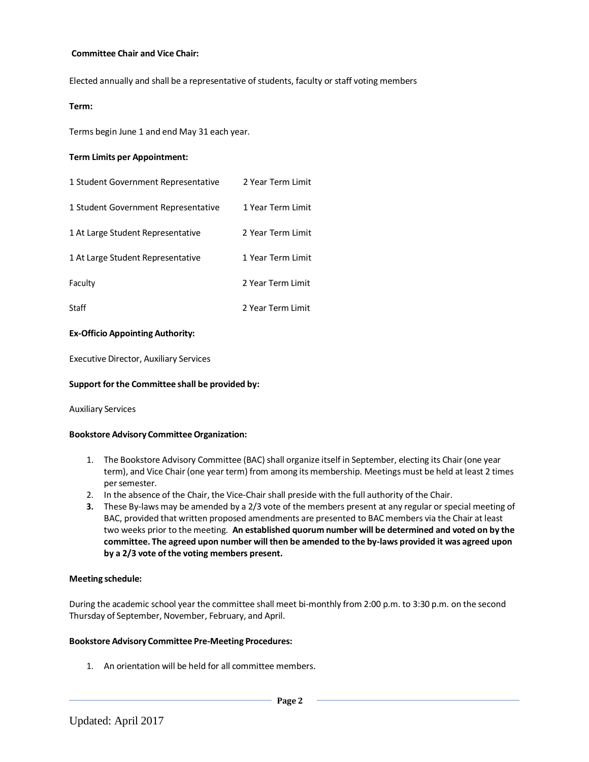#### **Committee Chair and Vice Chair:**

Elected annually and shall be a representative of students, faculty or staff voting members

#### **Term:**

Terms begin June 1 and end May 31 each year.

#### **Term Limits per Appointment:**

| 1 Student Government Representative | 2 Year Term Limit |
|-------------------------------------|-------------------|
| 1 Student Government Representative | 1 Year Term Limit |
| 1 At Large Student Representative   | 2 Year Term Limit |
| 1 At Large Student Representative   | 1 Year Term Limit |
| Faculty                             | 2 Year Term Limit |
| Staff                               | 2 Year Term Limit |

#### **Ex-Officio Appointing Authority:**

Executive Director, Auxiliary Services

#### **Support forthe Committee shall be provided by:**

Auxiliary Services

## **Bookstore Advisory CommitteeOrganization:**

- 1. The Bookstore Advisory Committee (BAC) shall organize itself in September, electing its Chair (one year term), and Vice Chair (one year term) from among its membership. Meetings must be held at least 2 times per semester.
- 2. In the absence of the Chair, the Vice-Chair shall preside with the full authority of the Chair.
- **3.** These By-laws may be amended by a 2/3 vote of the members present at any regular or special meeting of BAC, provided that written proposed amendments are presented to BAC members via the Chair at least two weeks prior to the meeting. **An established quorum number will be determined and voted on by the committee. The agreed upon number will then be amended to the by-laws provided it was agreed upon by a 2/3 vote ofthe voting members present.**

## **Meeting schedule:**

During the academic school year the committee shall meet bi-monthly from 2:00 p.m. to 3:30 p.m. on the second Thursday of September, November, February, and April.

# **Bookstore Advisory Committee Pre-Meeting Procedures:**

1. An orientation will be held for all committee members.